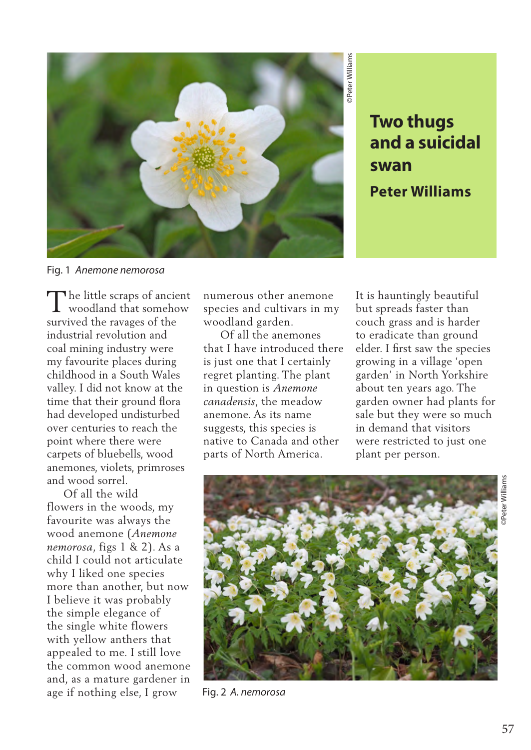

**and a suicidal swan Peter Williams**

Fig. 1 *Anemone nemorosa*

The little scraps of ancient<br>woodland that somehow woodland that somehow survived the ravages of the industrial revolution and coal mining industry were my favourite places during childhood in a South Wales valley. I did not know at the time that their ground flora had developed undisturbed over centuries to reach the point where there were carpets of bluebells, wood anemones, violets, primroses and wood sorrel.

 Of all the wild flowers in the woods, my favourite was always the wood anemone (*Anemone nemorosa*, figs 1 & 2). As a child I could not articulate why I liked one species more than another, but now I believe it was probably the simple elegance of the single white flowers with yellow anthers that appealed to me. I still love the common wood anemone and, as a mature gardener in age if nothing else, I grow

numerous other anemone species and cultivars in my woodland garden.

 Of all the anemones that I have introduced there is just one that I certainly regret planting. The plant in question is *Anemone canadensis*, the meadow anemone. As its name suggests, this species is native to Canada and other parts of North America.

It is hauntingly beautiful but spreads faster than couch grass and is harder to eradicate than ground elder. I first saw the species growing in a village 'open garden' in North Yorkshire about ten years ago. The garden owner had plants for sale but they were so much in demand that visitors were restricted to just one plant per person.



Fig. 2 *A. nemorosa*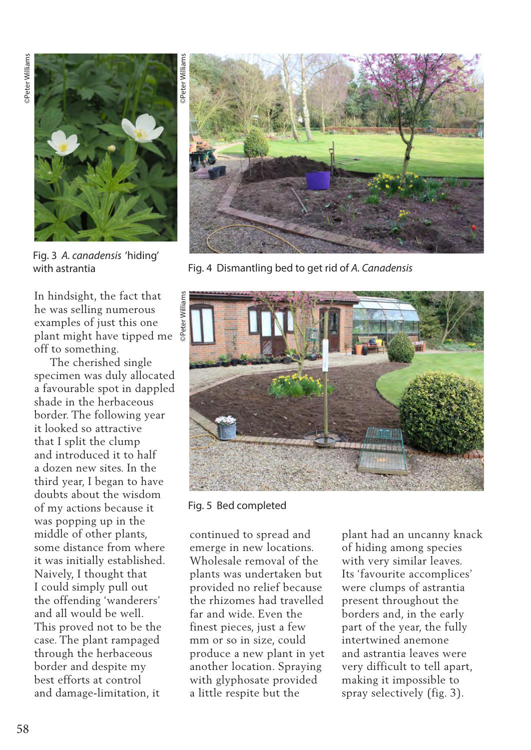

Fig. 3 *A. canadensis* 'hiding'

In hindsight, the fact that he was selling numerous examples of just this one plant might have tipped me off to something.

 The cherished single specimen was duly allocated a favourable spot in dappled shade in the herbaceous border. The following year it looked so attractive that I split the clump and introduced it to half a dozen new sites. In the third year, I began to have doubts about the wisdom of my actions because it was popping up in the middle of other plants, some distance from where it was initially established. Naively, I thought that I could simply pull out the offending 'wanderers' and all would be well. This proved not to be the case. The plant rampaged through the herbaceous border and despite my best efforts at control and damage-limitation, it



with astrantia **Fig. 4 Dismantling bed to get rid of A. Canadensis** 



Fig. 5 Bed completed

continued to spread and emerge in new locations. Wholesale removal of the plants was undertaken but provided no relief because the rhizomes had travelled far and wide. Even the finest pieces, just a few mm or so in size, could produce a new plant in yet another location. Spraying with glyphosate provided a little respite but the

plant had an uncanny knack of hiding among species with very similar leaves. Its 'favourite accomplices' were clumps of astrantia present throughout the borders and, in the early part of the year, the fully intertwined anemone and astrantia leaves were very difficult to tell apart, making it impossible to spray selectively (fig. 3).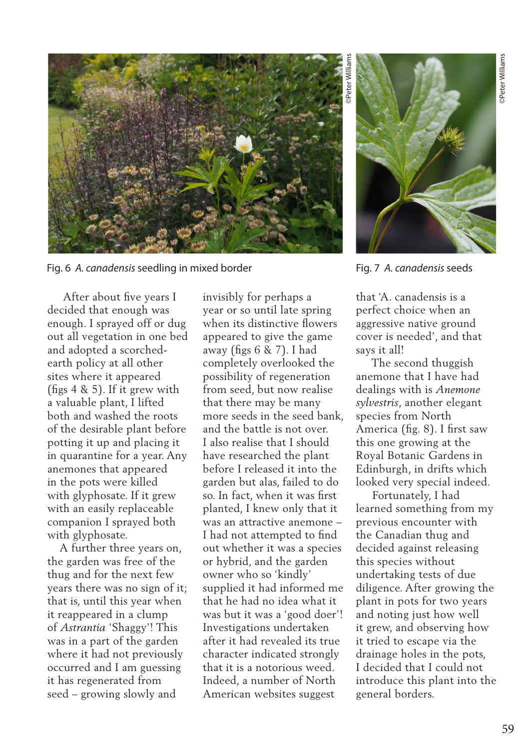

Fig. 6 *A. canadensis* seedling in mixed border Fig. 7 *A. canadensis* seeds

 After about five years I decided that enough was enough. I sprayed off or dug out all vegetation in one bed and adopted a scorchedearth policy at all other sites where it appeared (figs 4 & 5). If it grew with a valuable plant, I lifted both and washed the roots of the desirable plant before potting it up and placing it in quarantine for a year. Any anemones that appeared in the pots were killed with glyphosate. If it grew with an easily replaceable companion I sprayed both with glyphosate.

 A further three years on, the garden was free of the thug and for the next few years there was no sign of it; that is, until this year when it reappeared in a clump of *Astrantia* 'Shaggy'! This was in a part of the garden where it had not previously occurred and I am guessing it has regenerated from seed – growing slowly and

invisibly for perhaps a year or so until late spring when its distinctive flowers appeared to give the game away (figs 6 & 7). I had completely overlooked the possibility of regeneration from seed, but now realise that there may be many more seeds in the seed bank, and the battle is not over. I also realise that I should have researched the plant before I released it into the garden but alas, failed to do so. In fact, when it was first planted, I knew only that it was an attractive anemone – I had not attempted to find out whether it was a species or hybrid, and the garden owner who so 'kindly' supplied it had informed me that he had no idea what it was but it was a 'good doer'! Investigations undertaken after it had revealed its true character indicated strongly that it is a notorious weed. Indeed, a number of North American websites suggest



that 'A. canadensis is a perfect choice when an aggressive native ground cover is needed', and that says it all!

 The second thuggish anemone that I have had dealings with is *Anemone sylvestris*, another elegant species from North America (fig. 8). I first saw this one growing at the Royal Botanic Gardens in Edinburgh, in drifts which looked very special indeed.

 Fortunately, I had learned something from my previous encounter with the Canadian thug and decided against releasing this species without undertaking tests of due diligence. After growing the plant in pots for two years and noting just how well it grew, and observing how it tried to escape via the drainage holes in the pots, I decided that I could not introduce this plant into the general borders.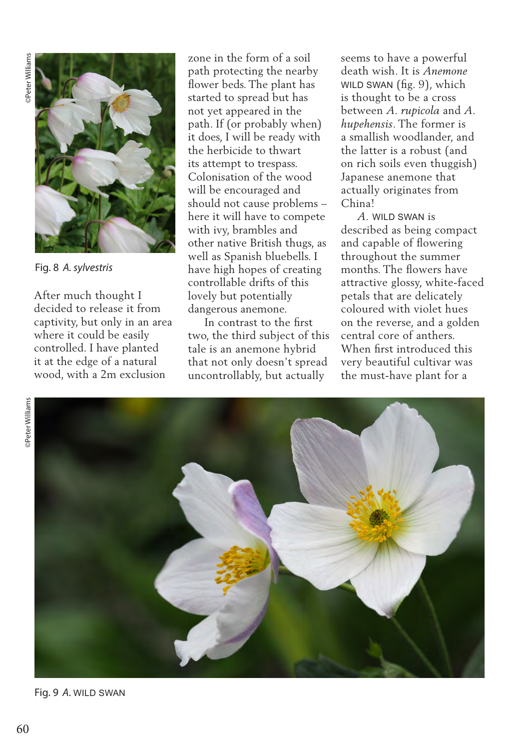

Fig. 8 *A. sylvestris*

After much thought I decided to release it from captivity, but only in an area where it could be easily controlled. I have planted it at the edge of a natural wood, with a 2m exclusion

zone in the form of a soil path protecting the nearby flower beds. The plant has started to spread but has not yet appeared in the path. If (or probably when) it does, I will be ready with the herbicide to thwart its attempt to trespass. Colonisation of the wood will be encouraged and should not cause problems – here it will have to compete with ivy, brambles and other native British thugs, as well as Spanish bluebells. I have high hopes of creating controllable drifts of this lovely but potentially dangerous anemone.

 In contrast to the first two, the third subject of this tale is an anemone hybrid that not only doesn't spread uncontrollably, but actually

seems to have a powerful death wish. It is *Anemone*  WILD SWAN (fig. 9), which is thought to be a cross between *A. rupicola* and *A. hupehensis*. The former is a smallish woodlander, and the latter is a robust (and on rich soils even thuggish) Japanese anemone that actually originates from China!

 *A.* WILD SWAN is described as being compact and capable of flowering throughout the summer months. The flowers have attractive glossy, white-faced petals that are delicately coloured with violet hues on the reverse, and a golden central core of anthers. When first introduced this very beautiful cultivar was the must-have plant for a



Fig. 9 *A*. WILD SWAN